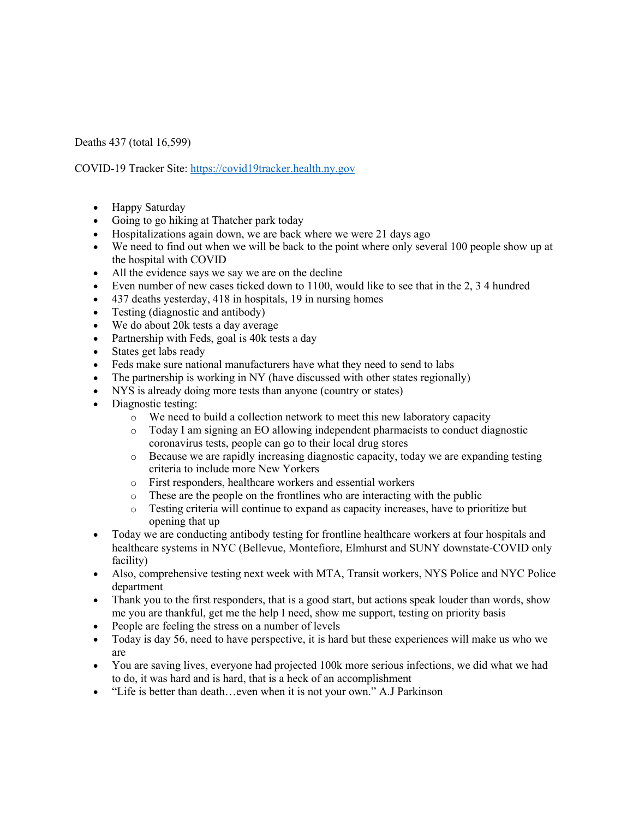Deaths 437 (total 16,599)

COVID-19 Tracker Site: https://covid19tracker.health.ny.gov

- Happy Saturday
- Going to go hiking at Thatcher park today
- Hospitalizations again down, we are back where we were 21 days ago
- We need to find out when we will be back to the point where only several 100 people show up at the hospital with COVID
- All the evidence says we say we are on the decline
- Even number of new cases ticked down to 1100, would like to see that in the 2, 3.4 hundred
- 437 deaths yesterday, 418 in hospitals, 19 in nursing homes
- Testing (diagnostic and antibody)
- We do about 20k tests a day average
- Partnership with Feds, goal is 40k tests a day
- States get labs ready
- Feds make sure national manufacturers have what they need to send to labs
- The partnership is working in NY (have discussed with other states regionally)
- NYS is already doing more tests than anyone (country or states)
- Diagnostic testing:
	- o We need to build a collection network to meet this new laboratory capacity
	- o Today I am signing an EO allowing independent pharmacists to conduct diagnostic coronavirus tests, people can go to their local drug stores
	- o Because we are rapidly increasing diagnostic capacity, today we are expanding testing criteria to include more New Yorkers
	- o First responders, healthcare workers and essential workers
	- o These are the people on the frontlines who are interacting with the public
	- o Testing criteria will continue to expand as capacity increases, have to prioritize but opening that up
- Today we are conducting antibody testing for frontline healthcare workers at four hospitals and healthcare systems in NYC (Bellevue, Montefiore, Elmhurst and SUNY downstate-COVID only facility)
- Also, comprehensive testing next week with MTA, Transit workers, NYS Police and NYC Police department
- Thank you to the first responders, that is a good start, but actions speak louder than words, show me you are thankful, get me the help I need, show me support, testing on priority basis
- People are feeling the stress on a number of levels
- Today is day 56, need to have perspective, it is hard but these experiences will make us who we are
- You are saving lives, everyone had projected 100k more serious infections, we did what we had to do, it was hard and is hard, that is a heck of an accomplishment
- "Life is better than death...even when it is not your own." A.J Parkinson